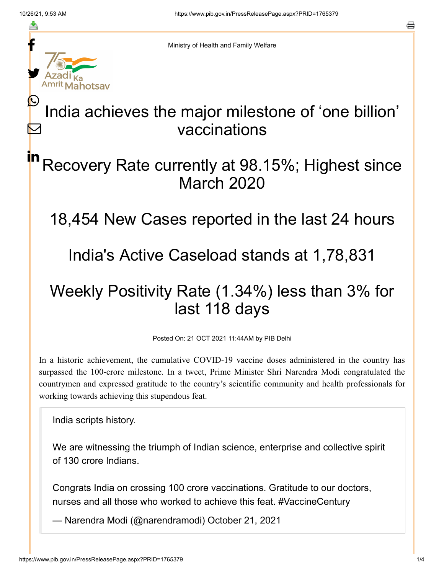f

≛

y.

in

Ministry of Health and Family Welfare

### India achieves the major milestone of 'one billion' vaccinations  $\bm{\mathcal{Q}}$  $\bm{\nabla}$

# Recovery Rate currently at 98.15%; Highest since March 2020

18,454 New Cases reported in the last 24 hours

### India's Active Caseload stands at 1,78,831

# Weekly Positivity Rate (1.34%) less than 3% for last 118 days

Posted On: 21 OCT 2021 11:44AM by PIB Delhi

In a historic achievement, the cumulative COVID-19 vaccine doses administered in the country has surpassed the 100-crore milestone. In a tweet, Prime Minister Shri Narendra Modi congratulated the countrymen and expressed gratitude to the country's scientific community and health professionals for working towards achieving this stupendous feat.

India scripts history.

We are witnessing the triumph of Indian science, enterprise and collective spirit of 130 crore Indians.

Congrats India on crossing 100 crore vaccinations. Gratitude to our doctors, nurses and all those who worked to achieve this feat. [#VaccineCentury](https://twitter.com/hashtag/VaccineCentury?src=hash&ref_src=twsrc%5Etfw)

— Narendra Modi (@narendramodi) [October 21, 2021](https://twitter.com/narendramodi/status/1451051712387731458?ref_src=twsrc%5Etfw)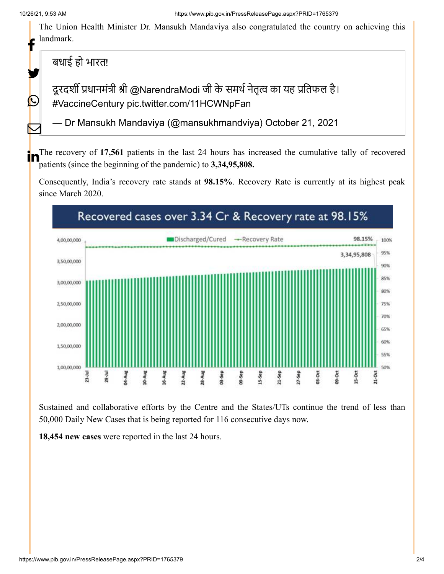t

У.

 $\bigcirc$ 

 $\bm{\nabla}$ 

The Union Health Minister Dr. Mansukh Mandaviya also congratulated the country on achieving this landmark.

बधाई हो भारत!

दूरदर्शी प्रधानमंत्री श्री [@NarendraModi](https://twitter.com/narendramodi?ref_src=twsrc%5Etfw) जी के समर्थ नेतृत्व का यह प्रतिफल है। [#VaccineCentury](https://twitter.com/hashtag/VaccineCentury?src=hash&ref_src=twsrc%5Etfw) [pic.twitter.com/11HCWNpFan](https://t.co/11HCWNpFan)

— Dr Mansukh Mandaviya (@mansukhmandviya) [October 21, 2021](https://twitter.com/mansukhmandviya/status/1451040097424470018?ref_src=twsrc%5Etfw)

The recovery of 17,561 patients in the last 24 hours has increased the cumulative tally of recovered patients (since the beginning of the pandemic) to **3,34,95,808.**

Consequently, India's recovery rate stands at **98.15%**. Recovery Rate is currently at its highest peak since March 2020.



Sustained and collaborative efforts by the Centre and the States/UTs continue the trend of less than 50,000 Daily New Cases that is being reported for 116 consecutive days now.

**18,454 new cases** were reported in the last 24 hours.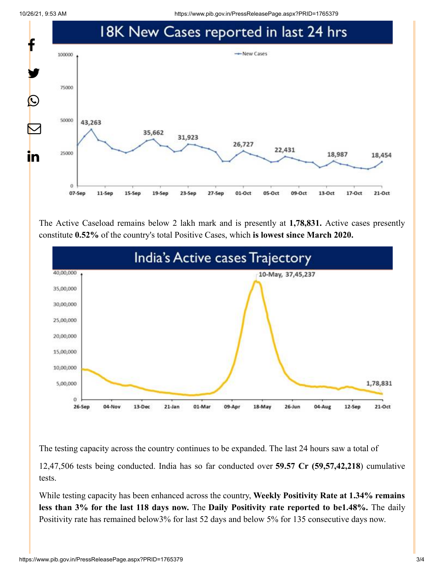10/26/21, 9:53 AM https://www.pib.gov.in/PressReleasePage.aspx?PRID=1765379



The Active Caseload remains below 2 lakh mark and is presently at **1,78,831.** Active cases presently constitute **0.52%** of the country's total Positive Cases, which **is lowest since March 2020.**



The testing capacity across the country continues to be expanded. The last 24 hours saw a total of

12,47,506 tests being conducted. India has so far conducted over **59.57 Cr (59,57,42,218**) cumulative tests.

While testing capacity has been enhanced across the country, **Weekly Positivity Rate at 1.34% remains less than 3% for the last 118 days now.** The **Daily Positivity rate reported to be1.48%.** The daily Positivity rate has remained below3% for last 52 days and below 5% for 135 consecutive days now.